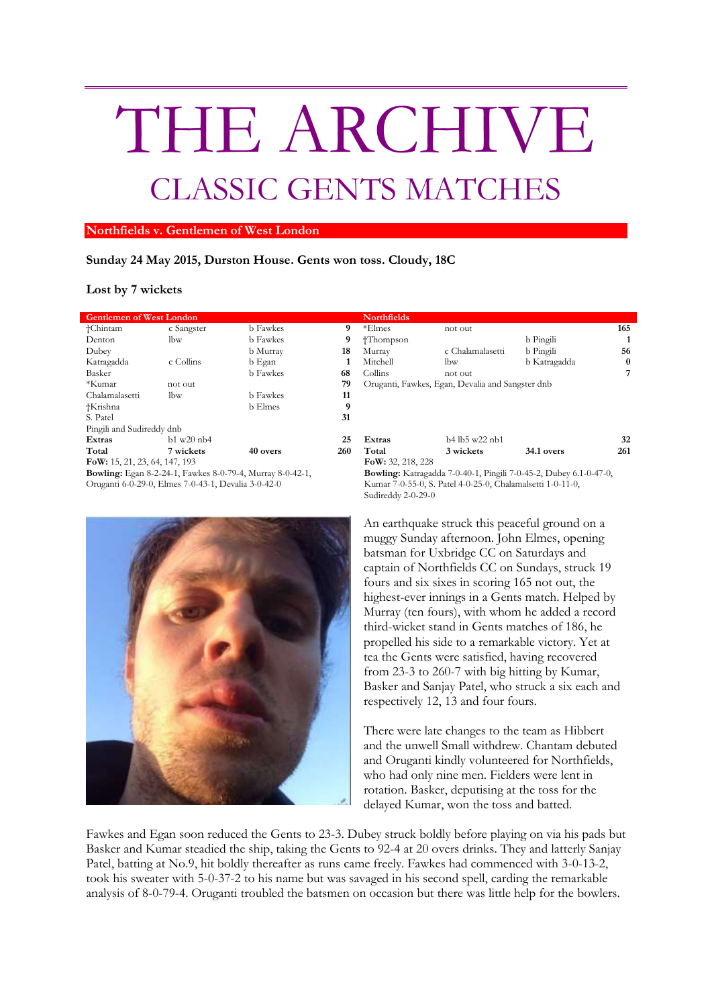## THE ARCHIVE CLASSIC GENTS MATCHES

## **Northfields v. Gentlemen of West London**

## **Sunday 24 May 2015, Durston House. Gents won toss. Cloudy, 18C**

## **Lost by 7 wickets**

| <b>Gentlemen of West London</b>                                  |                    |                 |                   | <b>Northfields</b>                                       |                                                  |           |
|------------------------------------------------------------------|--------------------|-----------------|-------------------|----------------------------------------------------------|--------------------------------------------------|-----------|
| †Chintam                                                         | c Sangster         | <b>b</b> Fawkes | 9                 | *Elmes                                                   | not out                                          |           |
| Denton                                                           | lbw                | <b>b</b> Fawkes | 9                 | †Thompson                                                |                                                  | b Pingil  |
| Dubey                                                            |                    | b Murray        | 18                | Murray                                                   | c Chalamalasetti                                 | b Pingil  |
| Katragadda                                                       | c Collins          | b Egan          | 1                 | Mitchell                                                 | lbw                                              | b Katra   |
| Basker                                                           |                    | <b>b</b> Fawkes | 68                | Collins                                                  | not out                                          |           |
| *Kumar                                                           | not out            |                 | 79                |                                                          | Oruganti, Fawkes, Egan, Devalia and Sangster dnb |           |
| Chalamalasetti                                                   | lbw                | <b>b</b> Fawkes | 11                |                                                          |                                                  |           |
| †Krishna                                                         |                    | b Elmes         | 9                 |                                                          |                                                  |           |
| S. Patel                                                         |                    |                 | 31                |                                                          |                                                  |           |
| Pingili and Sudireddy dnb                                        |                    |                 |                   |                                                          |                                                  |           |
| Extras                                                           | $b1$ w $20$ n $b4$ |                 | 25                | Extras                                                   | b4 lb5 w22 nb1                                   |           |
| Total                                                            | 7 wickets          | 40 overs        | 260               | Total                                                    | 3 wickets                                        | $34.1$ ov |
| FoW: 15, 21, 23, 64, 147, 193                                    |                    |                 | FoW: 32, 218, 228 |                                                          |                                                  |           |
| <b>Bowling:</b> Egan 8-2-24-1, Fawkes 8-0-79-4, Murray 8-0-42-1, |                    |                 |                   | <b>Bowling:</b> Katragadda 7-0-40-1, Pingili 7-0-45-2, D |                                                  |           |



| <b>Gentlemen of West London</b>                                  |                    |                 |                                                                          | <b>Northfields</b>                               |                  |              |          |  |
|------------------------------------------------------------------|--------------------|-----------------|--------------------------------------------------------------------------|--------------------------------------------------|------------------|--------------|----------|--|
| †Chintam                                                         | c Sangster         | <b>b</b> Fawkes | 9                                                                        | *Elmes                                           | not out          |              | 165      |  |
| Denton                                                           | lbw                | <b>b</b> Fawkes | 9                                                                        | †Thompson                                        |                  | b Pingili    |          |  |
| Dubey                                                            |                    | b Murray        | 18                                                                       | Murray                                           | c Chalamalasetti | b Pingili    | 56       |  |
| Katragadda                                                       | c Collins          | b Egan          |                                                                          | Mitchell                                         | lbw              | b Katragadda | $\bf{0}$ |  |
| Basker                                                           |                    | <b>b</b> Fawkes | 68                                                                       | Collins                                          | not out          |              |          |  |
| *Kumar                                                           | not out            |                 | 79                                                                       | Oruganti, Fawkes, Egan, Devalia and Sangster dnb |                  |              |          |  |
| Chalamalasetti                                                   | lbw                | <b>b</b> Fawkes | 11                                                                       |                                                  |                  |              |          |  |
| †Krishna                                                         |                    | <b>b</b> Elmes  | 9                                                                        |                                                  |                  |              |          |  |
| S. Patel                                                         |                    |                 | 31                                                                       |                                                  |                  |              |          |  |
| Pingili and Sudireddy dnb                                        |                    |                 |                                                                          |                                                  |                  |              |          |  |
| Extras                                                           | $b1$ w $20$ n $b4$ |                 | 25                                                                       | Extras                                           | b4 lb5 w22 nb1   |              | 32       |  |
| Total                                                            | 7 wickets          | 40 overs        | 260                                                                      | Total                                            | 3 wickets        | 34.1 overs   | 261      |  |
| FoW: 15, 21, 23, 64, 147, 193                                    |                    |                 |                                                                          | FoW: 32, 218, 228                                |                  |              |          |  |
| <b>Bowling:</b> Egan 8-2-24-1, Fawkes 8-0-79-4, Murray 8-0-42-1, |                    |                 | <b>Bowling:</b> Katragadda 7-0-40-1, Pingili 7-0-45-2, Dubey 6.1-0-47-0, |                                                  |                  |              |          |  |
| Oruganti 6-0-29-0, Elmes 7-0-43-1, Devalia 3-0-42-0              |                    |                 | Kumar 7-0-55-0, S. Patel 4-0-25-0, Chalamalsetti 1-0-11-0,               |                                                  |                  |              |          |  |
|                                                                  |                    |                 |                                                                          | Sudireddy 2-0-29-0                               |                  |              |          |  |

An earthquake struck this peaceful ground on a muggy Sunday afternoon. John Elmes, opening batsman for Uxbridge CC on Saturdays and captain of Northfields CC on Sundays, struck 19 fours and six sixes in scoring 165 not out, the highest-ever innings in a Gents match. Helped by Murray (ten fours), with whom he added a record third-wicket stand in Gents matches of 186, he propelled his side to a remarkable victory. Yet at tea the Gents were satisfied, having recovered from 23-3 to 260-7 with big hitting by Kumar, Basker and Sanjay Patel, who struck a six each and respectively 12, 13 and four fours.

There were late changes to the team as Hibbert and the unwell Small withdrew. Chantam debuted and Oruganti kindly volunteered for Northfields, who had only nine men. Fielders were lent in rotation. Basker, deputising at the toss for the delayed Kumar, won the toss and batted.

Fawkes and Egan soon reduced the Gents to 23-3. Dubey struck boldly before playing on via his pads but Basker and Kumar steadied the ship, taking the Gents to 92-4 at 20 overs drinks. They and latterly Sanjay Patel, batting at No.9, hit boldly thereafter as runs came freely. Fawkes had commenced with 3-0-13-2, took his sweater with 5-0-37-2 to his name but was savaged in his second spell, carding the remarkable analysis of 8-0-79-4. Oruganti troubled the batsmen on occasion but there was little help for the bowlers.